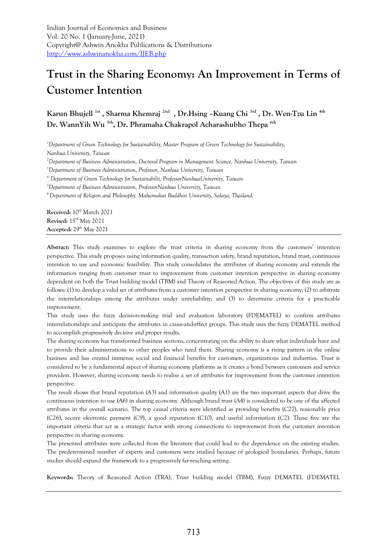# **Trust in the Sharing Economy: An Improvement in Terms of Customer Intention**

**Karun Bhujell 1st , Sharma Khemraj 2nd , Dr.Hsing –Kuang Chi 3rd , Dr. Wen-Tzu Lin 4th Dr. WannYih Wu 5th , Dr. Phramaha Chakrapol Acharashubho Thepa 6th** 

*<sup>1</sup>Department of Green Technology for Sustainability, Master Program of Green Technology for Sustainability, Nanhua University, Taiwan*

*<sup>2</sup>Department of Business Administration, Doctoral Program in Management Science, Nanhua University, Taiwan*

*<sup>3</sup>Department of Business Administration, Professor, Nanhua University, Taiwan*

*4. Department of Green Technology for Sustainabilit, ProfessorNanhuaUniversity, Taiwan*

*<sup>5</sup>Department of Business Administration, ProfessorNanhua University, Taiwan*

*<sup>6</sup>Department of Religion and Philosophy, Mahamakut Buddhist University, Salaya, Thailand.* 

**Received:** 10<sup>th</sup> March 2021 **Revised:** 15th May 2021 **Accepted:** 29th May 2021

**Abstract:** This study examines to explore the trust criteria in sharing economy from the customers' intention perspective. This study proposes using information quality, transaction safety, brand reputation, brand trust, continuous intention to use and economic feasibility. This study consolidates the attributes of sharing economy and extends the information ranging from customer trust to improvement from customer intention perspective in sharing economy dependent on both the Trust building model (TBM) and Theory of Reasoned Action. The objectives of this study are as follows: (1) to develop a valid set of attributes from a customer intention perspective in sharing economy; (2) to arbitrate the interrelationships among the attributes under unreliability; and (3) to determine criteria for a practicable improvement.

This study uses the fuzzy decision-making trial and evaluation laboratory (FDEMATEL) to confirm attributes interrelationships and anticipate the attributes in cause-and-effect groups. This study uses the fuzzy DEMATEL method to accomplish progressively decisive and proper results.

The sharing economy has transformed business sections, concentrating on the ability to share what individuals have and to provide their administrations to other peoples who need them. Sharing economy is a rising pattern in the online business and has created immense social and financial benefits for customers, organizations and industries. Trust is considered to be a fundamental aspect of sharing economy platforms as it creates a bond between customers and service providers. However, sharing economy needs to realise a set of attributes for improvement from the customer intention perspective.

The result shows that brand reputation (A3) and information quality (A1) are the two important aspects that drive the continuous intention to use (A6) in sharing economy. Although brand trust (A4) is considered to be one of the affected attributes in the overall scenario. The top causal criteria were identified as providing benefits (C27), reasonable price (C26), secure electronic payment (C9), a good reputation (C10), and useful information (C2). These five are the important criteria that act as a strategic factor with strong connections to improvement from the customer intention perspective in sharing economy.

The presented attributes were collected from the literature that could lead to the dependence on the existing studies. The predetermined number of experts and customers were studied because of geological boundaries. Perhaps, future studies should expand the framework to a progressively far-reaching setting.

**Keywords:** Theory of Reasoned Action (TRA), Trust building model (TBM), Fuzzy DEMATEL (FDEMATEL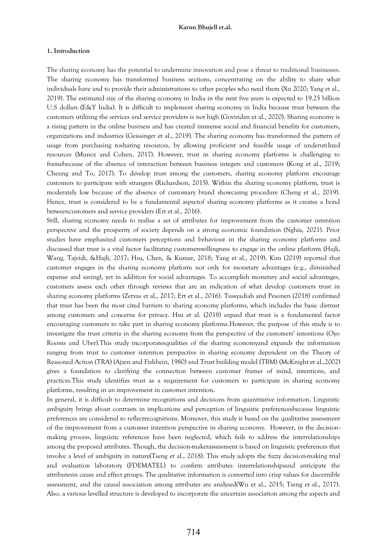#### **1. Introduction**

The sharing economy has the potential to undermine innovation and pose a threat to traditional businesses. The sharing economy has transformed business sections, concentrating on the ability to share what individuals have and to provide their administrations to other peoples who need them (Xu 2020; Yang et al., 2019). The estimated size of the sharing economy in India in the next five years is expected to 19.25 billion U.S dollars (E&Y India). It is difficult to implement sharing economy in India because trust between the customers utilizing the services and service providers is not high (Govindan et al., 2020). Sharing economy is a rising pattern in the online business and has created immense social and financial benefits for customers, organizations and industries (Geissinger et al., 2019). The sharing economy has transformed the pattern of usage from purchasing tosharing resources, by allowing proficient and feasible usage of underutilized resources (Munoz and Cohen, 2017). However, trust in sharing economy platforms is challenging to framebecause of the absence of interaction between business integers and customers (Kong et al., 2019; Cheung and To, 2017). To develop trust among the customers, sharing economy platform encourage customers to participate with strangers (Richardson, 2015). Within the sharing economy platform, trust is moderately low because of the absence of customary brand showcasing procedure (Cheng et al., 2019). Hence, trust is considered to be a fundamental aspectof sharing economy platforms as it creates a bond betweencustomers and service providers (Ert et al., 2016).

Still, sharing economy needs to realise a set of attributes for improvement from the customer intention perspective and the prosperity of society depends on a strong economic foundation (Nghia, 2021). Prior studies have emphasized customers perceptions and behaviour in the sharing economy platforms and discussed that trust is a vital factor facilitating customerswillingness to engage in the online platform (Hajli, Wang, Tajvidi, &Hajli, 2017; Hsu, Chen, & Kumar, 2018; Yang et al., 2019). Kim (2019) reported that customer engages in the sharing economy platform not only for monetary advantages (e.g., diminished expense and saving), yet in addition for social advantages. To accomplish monetary and social advantages, customers assess each other through reviews that are an indication of what develop customers trust in sharing economy platforms (Zervas et al., 2017; Ert et al., 2016). Tussyadiah and Pesonen (2018) confirmed that trust has been the most cited barriers to sharing economy platforms, which includes the basic distrust among customers and concerns for privacy. Hsu et al. (2018) argued that trust is a fundamental factor encouraging customers to take part in sharing economy platforms.However, the purpose of this study is to investigate the trust criteria in the sharing economy from the perspective of the customers' intentions (Oyo Rooms and Uber).This study incorporatesqualities of the sharing economyand expands the information ranging from trust to customer intention perspective in sharing economy dependent on the Theory of Reasoned Action (TRA) (Ajzen and Fishbein, 1980) and Trust building model (TBM) (McKnight et al.,2002) gives a foundation to clarifying the connection between customer frames of mind, intentions, and practices.This study identifies trust as a requirement for customers to participate in sharing economy platforms, resulting in an improvement in customer intention.

In general, it is difficult to determine recognitions and decisions from quantitative information. Linguistic ambiguity brings about contrasts in implications and perception of linguistic preferencesbecause linguistic preferences are considered to reflectrecognitions. Moreover, this study is based on the qualitative assessment of the improvement from a customer intention perspective in sharing economy. However, in the decisionmaking process, linguistic references have been neglected, which fails to address the interrelationships among the proposed attributes. Though, the decision-makerassessment is based on linguistic preferences that involve a level of ambiguity in nature(Tseng et al., 2018). This study adopts the fuzzy decision-making trial and evaluation laboratory (FDEMATEL) to confirm attributes interrelationshipsand anticipate the attributesin cause and effect groups. The qualitative information is converted into crisp values for discernible assessment, and the causal association among attributes are analysed(Wu et al., 2015; Tseng et al., 2017). Also, a various levelled structure is developed to incorporate the uncertain association among the aspects and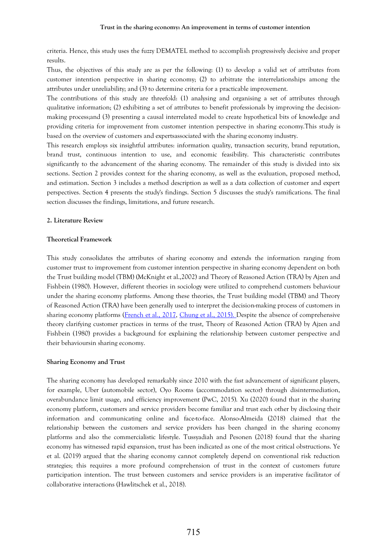criteria. Hence, this study uses the fuzzy DEMATEL method to accomplish progressively decisive and proper results.

Thus, the objectives of this study are as per the following: (1) to develop a valid set of attributes from customer intention perspective in sharing economy; (2) to arbitrate the interrelationships among the attributes under unreliability; and (3) to determine criteria for a practicable improvement.

The contributions of this study are threefold: (1) analysing and organising a set of attributes through qualitative information; (2) exhibiting a set of attributes to benefit professionals by improving the decisionmaking process;and (3) presenting a causal interrelated model to create hypothetical bits of knowledge and providing criteria for improvement from customer intention perspective in sharing economy.This study is based on the overview of customers and expertsassociated with the sharing economy industry.

This research employs six insightful attributes: information quality, transaction security, brand reputation, brand trust, continuous intention to use, and economic feasibility. This characteristic contributes significantly to the advancement of the sharing economy. The remainder of this study is divided into six sections. Section 2 provides context for the sharing economy, as well as the evaluation, proposed method, and estimation. Section 3 includes a method description as well as a data collection of customer and expert perspectives. Section 4 presents the study's findings. Section 5 discusses the study's ramifications. The final section discusses the findings, limitations, and future research.

### **2. Literature Review**

#### **Theoretical Framework**

This study consolidates the attributes of sharing economy and extends the information ranging from customer trust to improvement from customer intention perspective in sharing economy dependent on both the Trust building model (TBM) (McKnight et al.,2002) and Theory of Reasoned Action (TRA) by Ajzen and Fishbein (1980). However, different theories in sociology were utilized to comprehend customers behaviour under the sharing economy platforms. Among these theories, the Trust building model (TBM) and Theory of Reasoned Action (TRA) have been generally used to interpret the decision-making process of customers in sharing economy platforms [\(French et](https://www-sciencedirect-com.ezproxy.lib.asia.edu.tw:2443/science/article/pii/S0306457319301347#bib0037) al., 2017, [Chung et](https://www-sciencedirect-com.ezproxy.lib.asia.edu.tw:2443/science/article/pii/S0306457319301347#bib0020) al., 2015). Despite the absence of comprehensive theory clarifying customer practices in terms of the trust, Theory of Reasoned Action (TRA) by Ajzen and Fishbein (1980) provides a background for explaining the relationship between customer perspective and their behavioursin sharing economy.

#### **Sharing Economy and Trust**

The sharing economy has developed remarkably since 2010 with the fast advancement of significant players, for example, Uber (automobile sector), Oyo Rooms (accommodation sector) through disintermediation, overabundance limit usage, and efficiency improvement (PwC, 2015). Xu (2020) found that in the sharing economy platform, customers and service providers become familiar and trust each other by disclosing their information and communicating online and face-to-face. Alonso-Almeida (2018) claimed that the relationship between the customers and service providers has been changed in the sharing economy platforms and also the commercialistic lifestyle. Tussyadiah and Pesonen (2018) found that the sharing economy has witnessed rapid expansion, trust has been indicated as one of the most critical obstructions. Ye et al. (2019) argued that the sharing economy cannot completely depend on conventional risk reduction strategies; this requires a more profound comprehension of trust in the context of customers future participation intention. The trust between customers and service providers is an imperative facilitator of collaborative interactions (Hawlitschek et al., 2018).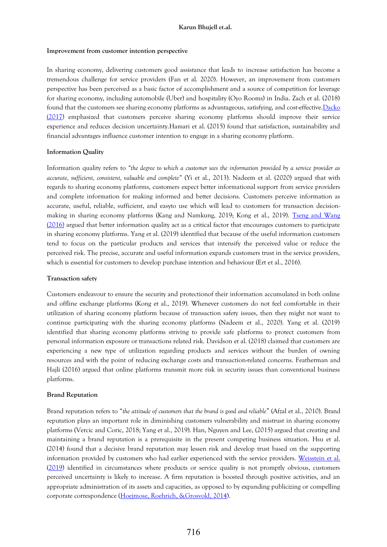## **Improvement from customer intention perspective**

In sharing economy, delivering customers good assistance that leads to increase satisfaction has become a tremendous challenge for service providers (Fan et al. 2020). However, an improvement from customers perspective has been perceived as a basic factor of accomplishment and a source of competition for leverage for sharing economy, including automobile (Uber) and hospitality (Oyo Rooms) in India. Zach et al. (2018) found that the customers see sharing economy platforms as advantageous, satisfying, and cost-effective. Dacko [\(2017\)](https://www-sciencedirect-com.ezproxy.lib.asia.edu.tw:2443/science/article/pii/S0969698919302127#bib11) emphasized that customers perceive sharing economy platforms should improve their service experience and reduces decision uncertainty.Hamari et al. (2015) found that satisfaction, sustainability and financial advantages influence customer intention to engage in a sharing economy platform.

# **Information Quality**

Information quality refers to *"the degree to which a customer sees the information provided by a service provider as accurate, sufficient, consistent, valuable and complete"* (Yi et al., 2013). Nadeem et al. (2020) argued that with regards to sharing economy platforms, customers expect better informational support from service providers and complete information for making informed and better decisions. Customers perceive information as accurate, useful, reliable, sufficient, and easyto use which will lead to customers for transaction decisionmaking in sharing economy platforms (Kang and Namkung, 2019; Kong et al., 2019). [Tseng and Wang](https://www-sciencedirect-com.ezproxy.lib.asia.edu.tw:2443/science/article/pii/S0278431918301300#bib0340)  [\(2016\)](https://www-sciencedirect-com.ezproxy.lib.asia.edu.tw:2443/science/article/pii/S0278431918301300#bib0340) argued that better information quality act as a critical factor that encourages customers to participate in sharing economy platforms. Yang et al. (2019) identified that because of the useful information customers tend to focus on the particular products and services that intensify the perceived value or reduce the perceived risk. The precise, accurate and useful information expands customers trust in the service providers, which is essential for customers to develop purchase intention and behaviour (Ert et al., 2016).

# **Transaction safety**

Customers endeavour to ensure the security and protectionof their information accumulated in both online and offline exchange platforms (Kong et al., 2019). Whenever customers do not feel comfortable in their utilization of sharing economy platform because of transaction safety issues, then they might not want to continue participating with the sharing economy platforms (Nadeem et al., 2020). Yang et al. (2019) identified that sharing economy platforms striving to provide safe platforms to protect customers from personal information exposure or transactions related risk. Davidson et al. (2018) claimed that customers are experiencing a new type of utilization regarding products and services without the burden of owning resources and with the point of reducing exchange costs and transaction-related concerns. Featherman and Hajli (2016) argued that online platforms transmit more risk in security issues than conventional business platforms.

# **Brand Reputation**

Brand reputation refers to "*the attitude of customers that the brand is good and reliable*" (Afzal et al., 2010). Brand reputation plays an important role in diminishing customers vulnerability and mistrust in sharing economy platforms (Vercic and Coric, 2018; Yang et al., 2019). Han, Nguyen and Lee, (2015) argued that creating and maintaining a brand reputation is a prerequisite in the present competing business situation. Hsu et al. (2014) found that a decisive brand reputation may lessen risk and develop trust based on the supporting information provided by customers who had earlier experienced with the service providers. [Weisstein et al.](https://www-sciencedirect-com.ezproxy.lib.asia.edu.tw:2443/science/article/pii/S0969698919301900#bib58) [\(2019\)](https://www-sciencedirect-com.ezproxy.lib.asia.edu.tw:2443/science/article/pii/S0969698919301900#bib59) identified in circumstances where products or service quality is not promptly obvious, customers perceived uncertainty is likely to increase. A firm reputation is boosted through positive activities, and an appropriate administration of its assets and capacities, as opposed to by expanding publicizing or compelling corporate correspondence [\(Hoejmose, Roehrich, &Grosvold, 2014\)](https://www-sciencedirect-com.ezproxy.lib.asia.edu.tw:2443/science/article/pii/S0019850119305929#bb0150).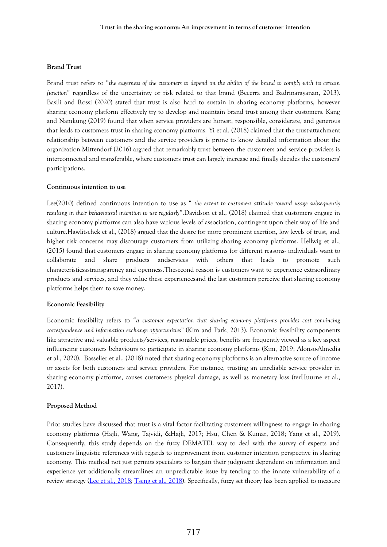## **Brand Trust**

Brand trust refers to "*the eagerness of the customers to depend on the ability of the brand to comply with its certain function*" regardless of the uncertainty or risk related to that brand (Becerra and Badrinarayanan, 2013). Basili and Rossi (2020) stated that trust is also hard to sustain in sharing economy platforms, however sharing economy platform effectively try to develop and maintain brand trust among their customers. Kang and Namkung (2019) found that when service providers are honest, responsible, considerate, and generous that leads to customers trust in sharing economy platforms. Yi et al. (2018) claimed that the trust-attachment relationship between customers and the service providers is prone to know detailed information about the organization.Mittendorf (2016) argued that remarkably trust between the customers and service providers is interconnected and transferable, where customers trust can largely increase and finally decides the customers' participations.

## **Continuous intention to use**

Lee(2010) defined continuous intention to use as " *the extent to customers attitude toward usage subsequently resulting in their behavioural intention to use regularly*".Davidson et al., (2018) claimed that customers engage in sharing economy platforms can also have various levels of association, contingent upon their way of life and culture.Hawlitschek et al., (2018) argued that the desire for more prominent exertion, low levels of trust, and higher risk concerns may discourage customers from utilizing sharing economy platforms. Hellwig et al., (2015) found that customers engage in sharing economy platforms for different reasons- individuals want to collaborate and share products andservices with others that leads to promote such characteristicsastransparency and openness.Thesecond reason is customers want to experience extraordinary products and services, and they value these experiencesand the last customers perceive that sharing economy platforms helps them to save money.

### **Economic Feasibility**

Economic feasibility refers to "*a customer expectation that sharing economy platforms provides cost convincing correspondence and information exchange opportunities"* (Kim and Park, 2013). Economic feasibility components like attractive and valuable products/services, reasonable prices, benefits are frequently viewed as a key aspect influencing customers behaviours to participate in sharing economy platforms (Kim, 2019; Alonso-Almedia et al., 2020). Basselier et al., (2018) noted that sharing economy platforms is an alternative source of income or assets for both customers and service providers. For instance, trusting an unreliable service provider in sharing economy platforms, causes customers physical damage, as well as monetary loss (terHuurne et al., 2017).

# **Proposed Method**

Prior studies have discussed that trust is a vital factor facilitating customers willingness to engage in sharing economy platforms (Hajli, Wang, Tajvidi, &Hajli, 2017; Hsu, Chen & Kumar, 2018; Yang et al., 2019). Consequently, this study depends on the fuzzy DEMATEL way to deal with the survey of experts and customers linguistic references with regards to improvement from customer intention perspective in sharing economy. This method not just permits specialists to bargain their judgment dependent on information and experience yet additionally streamlines an unpredictable issue by tending to the innate vulnerability of a review strategy [\(Lee et al., 2018;](https://www.sciencedirect.com/science/article/pii/S0921344919305312#bib0125) [Tseng et al., 2018\)](https://www.sciencedirect.com/science/article/pii/S0921344919305312#bib0245). Specifically, fuzzy set theory has been applied to measure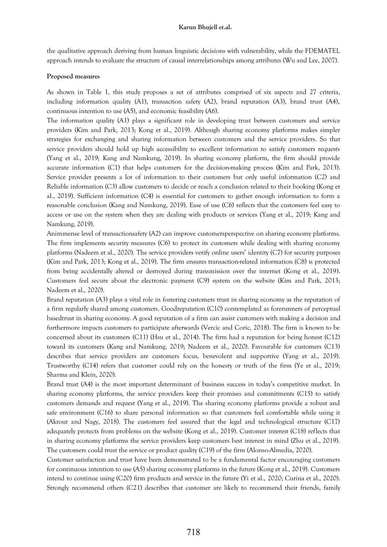the qualitative approach deriving from human linguistic decisions with vulnerability, while the FDEMATEL approach intends to evaluate the structure of causal interrelationships among attributes (Wu and Lee, 2007).

#### **Proposed measures**

As shown in Table 1, this study proposes a set of attributes comprised of six aspects and 27 criteria, including information quality (A1), transaction safety (A2), brand reputation (A3), brand trust (A4), continuous intention to use (A5), and economic feasibility (A6).

The information quality (A1) plays a significant role in developing trust between customers and service providers (Kim and Park, 2013; Kong et al., 2019). Although sharing economy platforms makes simpler strategies for exchanging and sharing information between customers and the service providers. So that service providers should hold up high accessibility to excellent information to satisfy customers requests (Yang et al., 2019; Kang and Namkung, 2019). In sharing economy platform, the firm should provide accurate information (C1) that helps customers for the decision-making process (Kim and Park, 2013). Service provider presents a lot of information to their customers but only useful information (C2) and Reliable information (C3) allow customers to decide or reach a conclusion related to their booking (Kong et al., 2019). Sufficient information (C4) is essential for customers to gather enough information to form a reasonable conclusion (Kang and Namkung, 2019). Ease of use (C6) reflects that the customers feel easy to access or use on the system when they are dealing with products or services (Yang et al., 2019; Kang and Namkung, 2019).

Animmense level of transactionsafety (A2) can improve customersperspective on sharing economy platforms. The firm implements security measures (C6) to protect its customers while dealing with sharing economy platforms (Nadeem et al., 2020). The service providers verify online users' identity (C7) for security purposes (Kim and Park, 2013; Kong et al., 2019). The firm ensures transaction-related information (C8) is protected from being accidentally altered or destroyed during transmission over the internet (Kong et al., 2019). Customers feel secure about the electronic payment (C9) system on the website (Kim and Park, 2013; Nadeem et al., 2020).

Brand reputation (A3) plays a vital role in fostering customers trust in sharing economy as the reputation of a firm regularly shared among customers. Goodreputation (C10) contemplated as forerunners of perceptual basedtrust in sharing economy. A good reputation of a firm can assist customers with making a decision and furthermore impacts customers to participate afterwards (Vercic and Coric, 2018). The firm is known to be concerned about its customers (C11) (Hsu et al., 2014). The firm had a reputation for being honest (C12) toward its customers (Kang and Namkung, 2019; Nadeem et al., 2020). Favourable for customers (C13) describes that service providers are customers focus, benevolent and supportive (Yang et al., 2019). Trustworthy (C14) refers that customer could rely on the honesty or truth of the firm (Ye et al., 2019; Sharma and Klein, 2020).

Brand trust (A4) is the most important determinant of business success in today's competitive market. In sharing economy platforms, the service providers keep their promises and commitments (C15) to satisfy customers demands and request (Yang et al., 2019). The sharing economy platforms provide a robust and safe environment (C16) to share personal information so that customers feel comfortable while using it (Akrout and Nagy, 2018). The customers feel assured that the legal and technological structure (C17) adequately protects from problems on the website (Kong et al., 2019). Customer interest (C18) reflects that in sharing economy platforms the service providers keep customers best interest in mind (Zhu et al., 2019). The customers could trust the service or product quality (C19) of the firm (Alonso-Almedia, 2020).

Customer satisfaction and trust have been demonstrated to be a fundamental factor encouraging customers for continuous intention to use (A5) sharing economy platforms in the future (Kong et al., 2019). Customers intend to continue using (C20) firm products and service in the future (Yi et al., 2020; Curina et al., 2020). Strongly recommend others (C21) describes that customer are likely to recommend their friends, family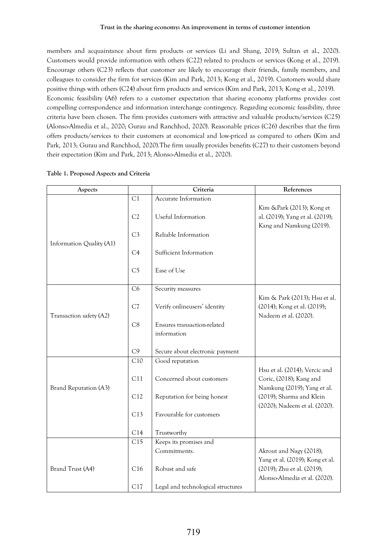### **Trust in the sharing economy: An improvement in terms of customer intention**

members and acquaintance about firm products or services (Li and Shang, 2019; Sultan et al., 2020). Customers would provide information with others (C22) related to products or services (Kong et al., 2019). Encourage others (C23) reflects that customer are likely to encourage their friends, family members, and colleagues to consider the firm for services (Kim and Park, 2013; Kong et al., 2019). Customers would share positive things with others (C24) about firm products and services (Kim and Park, 2013; Kong et al., 2019). Economic feasibility (A6) refers to a customer expectation that sharing economy platforms provides cost compelling correspondence and information interchange contingency. Regarding economic feasibility, three criteria have been chosen. The firm provides customers with attractive and valuable products/services (C25) (Alonso-Almedia et al., 2020; Gurau and Ranchhod, 2020). Reasonable prices (C26) describes that the firm offers products/services to their customers at economical and low-priced as compared to others (Kim and Park, 2013; Gurau and Ranchhod, 2020).The firm usually provides benefits (C27) to their customers beyond their expectation (Kim and Park, 2013; Alonso-Almedia et al., 2020).

| Aspects                  |                  | Criteria                                   | References                                                                                     |
|--------------------------|------------------|--------------------------------------------|------------------------------------------------------------------------------------------------|
|                          | C1               | Accurate Information                       |                                                                                                |
| Information Quality (A1) | C2               | Useful Information                         | Kim & Park (2013); Kong et<br>al. (2019); Yang et al. (2019);<br>Kang and Namkung (2019).      |
|                          | C <sub>3</sub>   | Reliable Information                       |                                                                                                |
|                          | C4               | Sufficient Information                     |                                                                                                |
|                          | C <sub>5</sub>   | Ease of Use                                |                                                                                                |
|                          | C6               | Security measures                          |                                                                                                |
| Transaction safety (A2)  | C7               | Verify onlineusers' identity               | Kim & Park (2013); Hsu et al.<br>(2014); Kong et al. (2019);<br>Nadeem et al. (2020).          |
|                          | C8               | Ensures transaction-related<br>information |                                                                                                |
|                          | C9               | Secure about electronic payment            |                                                                                                |
|                          | C10              | Good reputation                            |                                                                                                |
| Brand Reputation (A3)    | C11              | Concerned about customers                  | Hsu et al. (2014); Vercic and<br>Coric, (2018); Kang and<br>Namkung (2019); Yang et al.        |
|                          | C12              | Reputation for being honest                | (2019); Sharma and Klein                                                                       |
|                          | C13              | Favourable for customers                   | (2020); Nadeem et al. (2020).                                                                  |
|                          | C14              | Trustworthy                                |                                                                                                |
|                          | $\overline{C15}$ | Keeps its promises and<br>Commitments.     | Akrout and Nagy (2018);                                                                        |
| Brand Trust (A4)         | C16              | Robust and safe                            | Yang et al. (2019); Kong et al.<br>(2019); Zhu et al. (2019);<br>Alonso-Almedia et al. (2020). |
|                          | C17              | Legal and technological structures         |                                                                                                |

# **Table 1. Proposed Aspects and Criteria**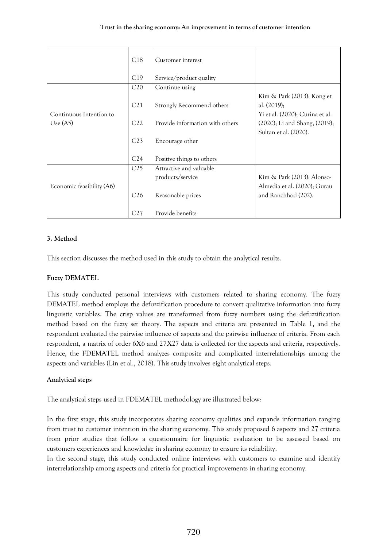|                           | C18             | Customer interest               |                                                                                |
|---------------------------|-----------------|---------------------------------|--------------------------------------------------------------------------------|
|                           | C19             | Service/product quality         |                                                                                |
|                           | C20             | Continue using                  |                                                                                |
| Continuous Intention to   | C21             | Strongly Recommend others       | Kim & Park (2013); Kong et<br>al. $(2019);$<br>Yi et al. (2020); Curina et al. |
| Use $(A5)$                | C22             | Provide information with others | (2020); Li and Shang, (2019);                                                  |
|                           |                 |                                 | Sultan et al. (2020).                                                          |
|                           | C <sub>23</sub> | Encourage other                 |                                                                                |
|                           | C <sub>24</sub> | Positive things to others       |                                                                                |
|                           | C25             | Attractive and valuable         |                                                                                |
|                           |                 | products/service                | Kim & Park (2013); Alonso-                                                     |
| Economic feasibility (A6) |                 |                                 | Almedia et al. (2020); Gurau                                                   |
|                           | C <sub>26</sub> | Reasonable prices               | and Ranchhod (202).                                                            |
|                           | C27             | Provide benefits                |                                                                                |

# **3. Method**

This section discusses the method used in this study to obtain the analytical results.

# **Fuzzy DEMATEL**

This study conducted personal interviews with customers related to sharing economy. The fuzzy DEMATEL method employs the defuzzification procedure to convert qualitative information into fuzzy linguistic variables. The crisp values are transformed from fuzzy numbers using the defuzzification method based on the fuzzy set theory. The aspects and criteria are presented in Table 1, and the respondent evaluated the pairwise influence of aspects and the pairwise influence of criteria. From each respondent, a matrix of order 6Χ6 and 27Χ27 data is collected for the aspects and criteria, respectively. Hence, the FDEMATEL method analyzes composite and complicated interrelationships among the aspects and variables (Lin et al., 2018). This study involves eight analytical steps.

# **Analytical steps**

The analytical steps used in FDEMATEL methodology are illustrated below:

In the first stage, this study incorporates sharing economy qualities and expands information ranging from trust to customer intention in the sharing economy. This study proposed 6 aspects and 27 criteria from prior studies that follow a questionnaire for linguistic evaluation to be assessed based on customers experiences and knowledge in sharing economy to ensure its reliability.

In the second stage, this study conducted online interviews with customers to examine and identify interrelationship among aspects and criteria for practical improvements in sharing economy.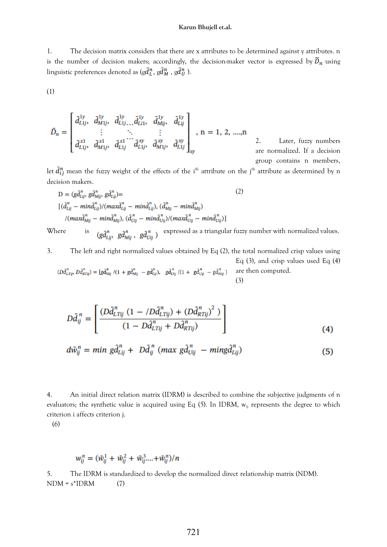1. The decision matrix considers that there are x attributes to be determined against y attributes. n is the number of decision makers; accordingly, the decision-maker vector is expressed by  $\tilde{D}_n$  using linguistic preferences denoted as (g $\tilde{d}^{\,n}_L$ , g $\tilde{d}^{\,n}_M$  , g $\tilde{d}^{\,n}_U$  ).

(1)

$$
\tilde{D}_n = \begin{bmatrix}\n\tilde{d}_{L1j}^{1y}, & \tilde{d}_{M1j}^{1y}, & \tilde{d}_{L1j}^{1y}, & \tilde{d}_{L1j}^{1y}, & \tilde{d}_{Mij}^{1y}, & \tilde{d}_{Lij}^{1y} \\
\vdots & \ddots & \vdots \\
\tilde{d}_{L1j}^{x1}, & \tilde{d}_{M1j}^{x1}, & \tilde{d}_{L1j}^{x1}, & \tilde{d}_{L1j}^{xy}, & \tilde{d}_{M1j}^{xy}, & \tilde{d}_{L1j}^{xy}\n\end{bmatrix}_{xy}, n = 1, 2, ..., n
$$

2. Later, fuzzy numbers are normalized. If a decision group contains n members,

let  $\tilde{d}_{ij}^n$  mean the fuzzy weight of the effects of the i<sup>th</sup> attribute on the j<sup>th</sup> attribute as determined by n decision makers.

$$
D = (g\tilde{d}_{Lij}^n, g\tilde{d}_{Mij}^n, g\tilde{d}_{Lij}^n) =
$$
\n
$$
[(\tilde{d}_{Lij}^n - \min \tilde{d}_{Lij}^n)/(\max \tilde{d}_{Lij}^n - \min \tilde{d}_{Lij}^n), (\tilde{d}_{Mij}^n - \min \tilde{d}_{Mij}^n)
$$
\n
$$
/(\max \tilde{d}_{Mij}^n - \min \tilde{d}_{Mij}^n), (\tilde{d}_{Uij}^n - \min \tilde{d}_{Uij}^n)/(\max \tilde{d}_{Uij}^n - \min \tilde{d}_{Uij}^n)]
$$
\nWhere is 
$$
(g\tilde{d}_{Lii}^n, g\tilde{d}_{Mii}^n, g\tilde{d}_{Uij}^n)
$$
 expressed as a triangular fuzzy number with normalized values.

3. The left and right normalized values obtained by Eq (2), the total normalized crisp values using Eq (3), and crisp values used Eq (4)  $(D {\tilde{d}}^n_{LTij}, \, D {\tilde{d}}^n_{RTij}) = [g {\tilde{d}}^n_{Mij} \;/(1+g {\tilde{d}}^n_{Mij} \; -g {\tilde{d}}^n_{Lij}), \ \ \, g {\tilde{d}}^n_{Uij} \;/(1+\; g {\tilde{d}}^n_{Uij} \; -g {\tilde{d}}^n_{Mij})$ are then computed.

$$
D\tilde{d}_{ij}^n = \left[ \frac{(D\tilde{d}_{LTij}^n (1 - /D\tilde{d}_{LTij}^n) + (D\tilde{d}_{RTij}^n)^2)}{(1 - D\tilde{d}_{LTij}^n + D\tilde{d}_{RTij}^n)} \right]
$$
(4)

(3)

$$
d\tilde{w}_{ij}^n = min \ g \tilde{d}_{Lij}^n + D \tilde{d}_{ij}^n \ (max \ g \tilde{d}_{Uij}^n - min g \tilde{d}_{Lij}^n)
$$
 (5)

4. An initial direct relation matrix (IDRM) is described to combine the subjective judgments of n evaluators; the synthetic value is acquired using Eq (5). In IDRM,  $w_{ij}$  represents the degree to which criterion i affects criterion j.

(6)

$$
w_{ij}^n = (\tilde{w}_{ij}^1 + \tilde{w}_{ij}^2 + \tilde{w}_{ij}^3 ... + \tilde{w}_{ij}^n)/n
$$

5. The IDRM is standardized to develop the normalized direct relationship matrix (NDM).  $NDM = s^*IDRM$  (7)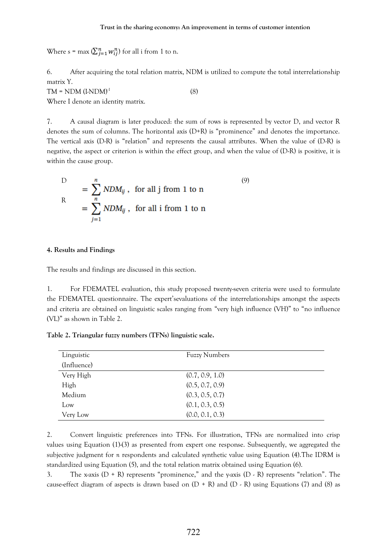Where s = max  $(\sum_{j=1}^n w_{ij}^n)$  for all i from 1 to n.

6. After acquiring the total relation matrix, NDM is utilized to compute the total interrelationship matrix Y.

(8)

 $TM = NDM (I-NDM)<sup>-1</sup>$ 

Where I denote an identity matrix.

7. A causal diagram is later produced: the sum of rows is represented by vector D, and vector R denotes the sum of columns. The horizontal axis (D+R) is "prominence" and denotes the importance. The vertical axis (D-R) is "relation" and represents the causal attributes. When the value of (D-R) is negative, the aspect or criterion is within the effect group, and when the value of (D-R) is positive, it is within the cause group.

$$
D = \sum_{i=1}^{n} NDM_{ij}, \text{ for all } j \text{ from } 1 \text{ to } n
$$
  
= 
$$
\sum_{j=1}^{n} NDM_{ij}, \text{ for all } i \text{ from } 1 \text{ to } n
$$
 (9)

### **4. Results and Findings**

The results and findings are discussed in this section.

1. For FDEMATEL evaluation, this study proposed twenty-seven criteria were used to formulate the FDEMATEL questionnaire. The expert'sevaluations of the interrelationships amongst the aspects and criteria are obtained on linguistic scales ranging from "very high influence (VH)" to "no influence (VL)" as shown in Table 2.

**Table 2. Triangular fuzzy numbers (TFNs) linguistic scale.**

| Linguistic  | <b>Fuzzy Numbers</b> |
|-------------|----------------------|
| (Influence) |                      |
| Very High   | (0.7, 0.9, 1.0)      |
| High        | (0.5, 0.7, 0.9)      |
| Medium      | (0.3, 0.5, 0.7)      |
| Low         | (0.1, 0.3, 0.5)      |
| Very Low    | (0.0, 0.1, 0.3)      |

2. Convert linguistic preferences into TFNs. For illustration, TFNs are normalized into crisp values using Equation (1)-(3) as presented from expert one response. Subsequently, we aggregated the subjective judgment for *n* respondents and calculated synthetic value using Equation (4).The IDRM is standardized using Equation (5), and the total relation matrix obtained using Equation (6).

3. The x-axis  $(D + R)$  represents "prominence," and the y-axis  $(D - R)$  represents "relation". The cause-effect diagram of aspects is drawn based on  $(D + R)$  and  $(D - R)$  using Equations (7) and (8) as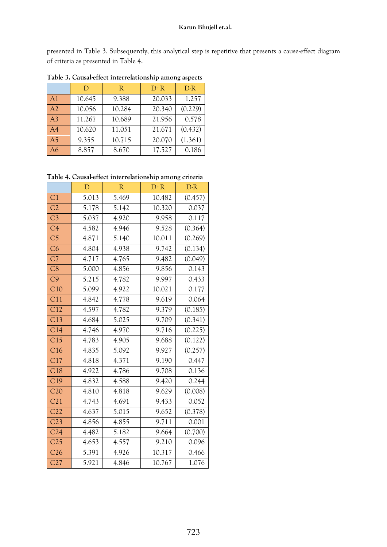presented in Table 3. Subsequently, this analytical step is repetitive that presents a cause-effect diagram of criteria as presented in Table 4.

|                | D      | R      | $D+R$  | $D-R$   |
|----------------|--------|--------|--------|---------|
| A <sub>1</sub> | 10.645 | 9.388  | 20.033 | 1.257   |
| A2             | 10.056 | 10.284 | 20.340 | (0.229) |
| A <sub>3</sub> | 11.267 | 10.689 | 21.956 | 0.578   |
| A <sub>4</sub> | 10.620 | 11.051 | 21.671 | (0.432) |
| A <sub>5</sub> | 9.355  | 10.715 | 20.070 | (1.361) |
| A6             | 8.857  | 8.670  | 17.527 | 0.186   |

**Table 3. Causal-effect interrelationship among aspects**

**Table 4. Causal-effect interrelationship among criteria**

|                  | $\mathbf{D}$ | $\mathbb{R}$ | $D+R$  | $D-R$   |
|------------------|--------------|--------------|--------|---------|
| C <sub>1</sub>   | 5.013        | 5.469        | 10.482 | (0.457) |
| C2               | 5.178        | 5.142        | 10.320 | 0.037   |
| C <sub>3</sub>   | 5.037        | 4.920        | 9.958  | 0.117   |
| C4               | 4.582        | 4.946        | 9.528  | (0.364) |
| C <sub>5</sub>   | 4.871        | 5.140        | 10.011 | (0.269) |
| C6               | 4.804        | 4.938        | 9.742  | (0.134) |
| C <sub>7</sub>   | 4.717        | 4.765        | 9.482  | (0.049) |
| C8               | 5.000        | 4.856        | 9.856  | 0.143   |
| C9               | 5.215        | 4.782        | 9.997  | 0.433   |
| C10              | 5.099        | 4.922        | 10.021 | 0.177   |
| $\overline{C}11$ | 4.842        | 4.778        | 9.619  | 0.064   |
| C12              | 4.597        | 4.782        | 9.379  | (0.185) |
| C13              | 4.684        | 5.025        | 9.709  | (0.341) |
| C14              | 4.746        | 4.970        | 9.716  | (0.225) |
| C15              | 4.783        | 4.905        | 9.688  | (0.122) |
| C16              | 4.835        | 5.092        | 9.927  | (0.257) |
| C17              | 4.818        | 4.371        | 9.190  | 0.447   |
| C18              | 4.922        | 4.786        | 9.708  | 0.136   |
| C19              | 4.832        | 4.588        | 9.420  | 0.244   |
| C20              | 4.810        | 4.818        | 9.629  | (0.008) |
| C21              | 4.743        | 4.691        | 9.433  | 0.052   |
| C22              | 4.637        | 5.015        | 9.652  | (0.378) |
| C23              | 4.856        | 4.855        | 9.711  | 0.001   |
| C <sub>24</sub>  | 4.482        | 5.182        | 9.664  | (0.700) |
| C <sub>25</sub>  | 4.653        | 4.557        | 9.210  | 0.096   |
| C <sub>26</sub>  | 5.391        | 4.926        | 10.317 | 0.466   |
| C27              | 5.921        | 4.846        | 10.767 | 1.076   |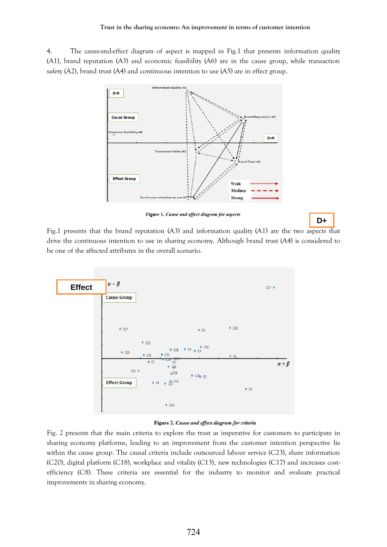4. The cause-and-effect diagram of aspect is mapped in Fig.1 that presents information quality (A1), brand reputation (A3) and economic feasibility (A6) are in the cause group, while transaction safety (A2), brand trust (A4) and continuous intention to use (A5) are in effect group.



Figure 1. Cause and effect diagram for aspects

**D+**

Fig.1 presents that the brand reputation (A3) and information quality (A1) are the two aspects that **R** drive the continuous intention to use in sharing economy. Although brand trust (A4) is considered to be one of the affected attributes in the overall scenario.



Figure 2. Cause and effect diagram for criteria

Fig. 2 presents that the main criteria to explore the trust as imperative for customers to participate in sharing economy platforms, leading to an improvement from the customer intention perspective lie within the cause group. The causal criteria include outsourced labour service (C23), share information (C20), digital platform (C18), workplace and vitality (C13), new technologies (C17) and increases costefficiency (C8). These criteria are essential for the industry to monitor and evaluate practical improvements in sharing economy.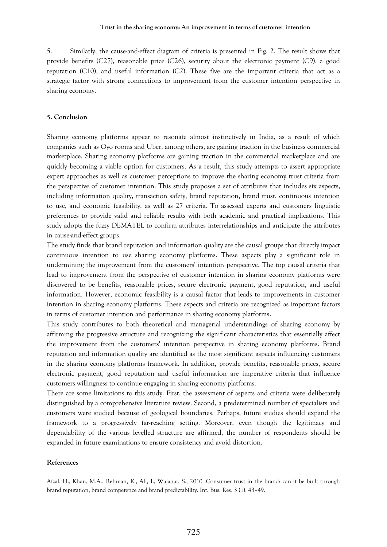5. Similarly, the cause-and-effect diagram of criteria is presented in Fig. 2. The result shows that provide benefits (C27), reasonable price (C26), security about the electronic payment (C9), a good reputation (C10), and useful information (C2). These five are the important criteria that act as a strategic factor with strong connections to improvement from the customer intention perspective in sharing economy.

## **5. Conclusion**

Sharing economy platforms appear to resonate almost instinctively in India, as a result of which companies such as Oyo rooms and Uber, among others, are gaining traction in the business commercial marketplace. Sharing economy platforms are gaining traction in the commercial marketplace and are quickly becoming a viable option for customers. As a result, this study attempts to assert appropriate expert approaches as well as customer perceptions to improve the sharing economy trust criteria from the perspective of customer intention. This study proposes a set of attributes that includes six aspects, including information quality, transaction safety, brand reputation, brand trust, continuous intention to use, and economic feasibility, as well as 27 criteria. To assessed experts and customers linguistic preferences to provide valid and reliable results with both academic and practical implications. This study adopts the fuzzy DEMATEL to confirm attributes interrelationships and anticipate the attributes in cause-and-effect groups.

The study finds that brand reputation and information quality are the causal groups that directly impact continuous intention to use sharing economy platforms. These aspects play a significant role in undermining the improvement from the customers' intention perspective. The top causal criteria that lead to improvement from the perspective of customer intention in sharing economy platforms were discovered to be benefits, reasonable prices, secure electronic payment, good reputation, and useful information. However, economic feasibility is a causal factor that leads to improvements in customer intention in sharing economy platforms. These aspects and criteria are recognized as important factors in terms of customer intention and performance in sharing economy platforms.

This study contributes to both theoretical and managerial understandings of sharing economy by affirming the progressive structure and recognizing the significant characteristics that essentially affect the improvement from the customers' intention perspective in sharing economy platforms. Brand reputation and information quality are identified as the most significant aspects influencing customers in the sharing economy platforms framework. In addition, provide benefits, reasonable prices, secure electronic payment, good reputation and useful information are imperative criteria that influence customers willingness to continue engaging in sharing economy platforms.

There are some limitations to this study. First, the assessment of aspects and criteria were deliberately distinguished by a comprehensive literature review. Second, a predetermined number of specialists and customers were studied because of geological boundaries. Perhaps, future studies should expand the framework to a progressively far-reaching setting. Moreover, even though the legitimacy and dependability of the various levelled structure are affirmed, the number of respondents should be expanded in future examinations to ensure consistency and avoid distortion.

### **References**

Afzal, H., Khan, M.A., Rehman, K., Ali, I., Wajahat, S., 2010. Consumer trust in the brand: can it be built through brand reputation, brand competence and brand predictability. Int. Bus. Res. 3 (1), 43–49.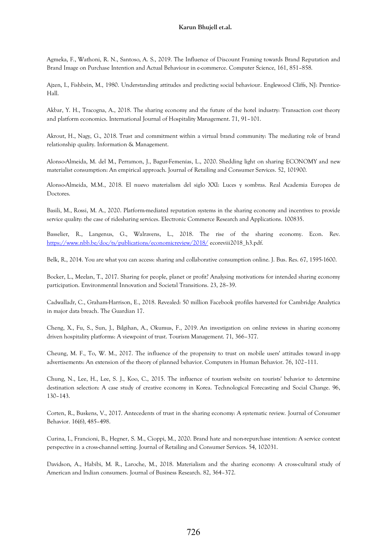Agmeka, F., Wathoni, R. N., Santoso, A. S., 2019. The Influence of Discount Framing towards Brand Reputation and Brand Image on Purchase Intention and Actual Behaviour in e-commerce. Computer Science, 161, 851–858.

Ajzen, I., Fishbein, M., 1980. Understanding attitudes and predicting social behaviour. Englewood Cliffs, NJ: Prentice-Hall.

Akbar, Y. H., Tracogna, A., 2018. The sharing economy and the future of the hotel industry: Transaction cost theory and platform economics. International Journal of Hospitality Management. 71, 91–101.

Akrout, H., Nagy, G., 2018. Trust and commitment within a virtual brand community: The mediating role of brand relationship quality. Information & Management.

Alonso-Almeida, M. del M., Perramon, J., Bagur-Femenías, L., 2020. Shedding light on sharing ECONOMY and new materialist consumption: An empirical approach. Journal of Retailing and Consumer Services. 52, 101900.

Alonso-Almeida, M.M., 2018. El nuevo materialism del siglo XXI: Luces y sombras. Real Academia Europea de Doctores.

Basili, M., Rossi, M. A., 2020. Platform-mediated reputation systems in the sharing economy and incentives to provide service quality: the case of ridesharing services. Electronic Commerce Research and Applications. 100835.

Basselier, R., Langenus, G., Walravens, L., 2018. The rise of the sharing economy. Econ. Rev. <https://www.nbb.be/doc/ts/publications/economicreview/2018/> ecoreviii2018\_h3.pdf.

Belk, R., 2014. You are what you can access: sharing and collaborative consumption online. J. Bus. Res. 67, 1595-1600.

Bocker, L., Meelan, T., 2017. Sharing for people, planet or profit? Analysing motivations for intended sharing economy participation. Environmental Innovation and Societal Transitions. 23, 28–39.

Cadwalladr, C., Graham-Harrison, E., 2018. Revealed: 50 million Facebook profiles harvested for Cambridge Analytica in major data breach. The Guardian 17.

Cheng, X., Fu, S., Sun, J., Bilgihan, A., Okumus, F., 2019. An investigation on online reviews in sharing economy driven hospitality platforms: A viewpoint of trust. Tourism Management. 71, 366–377.

Cheung, M. F., To, W. M., 2017. The influence of the propensity to trust on mobile users' attitudes toward in-app advertisements: An extension of the theory of planned behavior. Computers in Human Behavior. 76, 102–111.

Chung, N., Lee, H., Lee, S. J., Koo, C., 2015. The influence of tourism website on tourists' behavior to determine destination selection: A case study of creative economy in Korea. Technological Forecasting and Social Change. 96, 130–143.

Corten, R., Buskens, V., 2017. Antecedents of trust in the sharing economy: A systematic review. Journal of Consumer Behavior. 16(6), 485–498.

Curina, I., Francioni, B., Hegner, S. M., Cioppi, M., 2020. Brand hate and non-repurchase intention: A service context perspective in a cross-channel setting. Journal of Retailing and Consumer Services. 54, 102031.

Davidson, A., Habibi, M. R., Laroche, M., 2018. Materialism and the sharing economy: A cross-cultural study of American and Indian consumers. Journal of Business Research. 82, 364–372.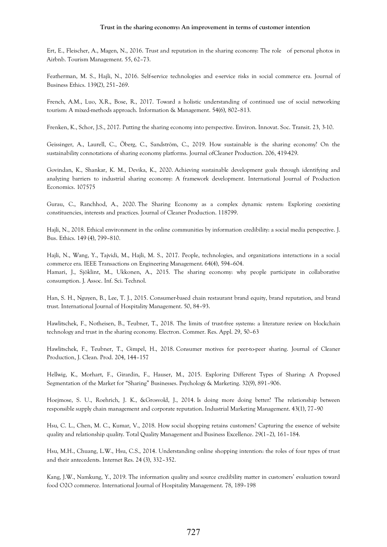Ert, E., Fleischer, A., Magen, N., 2016. Trust and reputation in the sharing economy: The role of personal photos in Airbnb. Tourism Management. 55, 62–73.

Featherman, M. S., Hajli, N., 2016. Self-service technologies and e-service risks in social commerce era. Journal of Business Ethics. 139(2), 251–269.

French, A.M., Luo, X.R., Bose, R., 2017. Toward a holistic understanding of continued use of social networking tourism: A mixed-methods approach. Information & Management. 54(6), 802–813.

Frenken, K., Schor, J.S., 2017. Putting the sharing economy into perspective. Environ. Innovat. Soc. Transit. 23, 3-10.

Geissinger, A., Laurell, C., Öberg, C., Sandström, C., 2019. How sustainable is the sharing economy? On the sustainability connotations of sharing economy platforms. Journal ofCleaner Production. 206, 419-429.

Govindan, K., Shankar, K. M., Devika, K., 2020. Achieving sustainable development goals through identifying and analyzing barriers to industrial sharing economy: A framework development. International Journal of Production Economics. 107575

Gurau, C., Ranchhod, A., 2020. The Sharing Economy as a complex dynamic system: Exploring coexisting constituencies, interests and practices. Journal of Cleaner Production. 118799.

Hajli, N., 2018. Ethical environment in the online communities by information credibility: a social media perspective. J. Bus. Ethics. 149 (4), 799–810.

Hajli, N., Wang, Y., Tajvidi, M., Hajli, M. S., 2017. People, technologies, and organizations interactions in a social commerce era. IEEE Transactions on Engineering Management. 64(4), 594–604.

Hamari, J., Sjöklint, M., Ukkonen, A., 2015. The sharing economy: why people participate in collaborative consumption. J. Assoc. Inf. Sci. Technol.

Han, S. H., Nguyen, B., Lee, T. J., 2015. Consumer-based chain restaurant brand equity, brand reputation, and brand trust. International Journal of Hospitality Management. 50, 84–93.

Hawlitschek, F., Notheisen, B., Teubner, T., 2018. The limits of trust-free systems: a literature review on blockchain technology and trust in the sharing economy. Electron. Commer. Res. Appl. 29, 50–63

Hawlitschek, F., Teubner, T., Gimpel, H., 2018. Consumer motives for peer-to-peer sharing. Journal of Cleaner Production, J. Clean. Prod. 204, 144–157

Hellwig, K., Morhart, F., Girardin, F., Hauser, M., 2015. Exploring Different Types of Sharing: A Proposed Segmentation of the Market for "Sharing" Businesses. Psychology & Marketing. 32(9), 891–906.

Hoejmose, S. U., Roehrich, J. K., &Grosvold, J., 2014. Is doing more doing better? The relationship between responsible supply chain management and corporate reputation. Industrial Marketing Management. 43(1), 77–90

Hsu, C. L., Chen, M. C., Kumar, V., 2018. How social shopping retains customers? Capturing the essence of website quality and relationship quality. Total Quality Management and Business Excellence. 29(1–2), 161–184.

Hsu, M.H., Chuang, L.W., Hsu, C.S., 2014. Understanding online shopping intention: the roles of four types of trust and their antecedents. Internet Res. 24 (3), 332–352.

Kang, J.W., Namkung, Y., 2019. The information quality and source credibility matter in customers' evaluation toward food O2O commerce. International Journal of Hospitality Management. 78, 189–198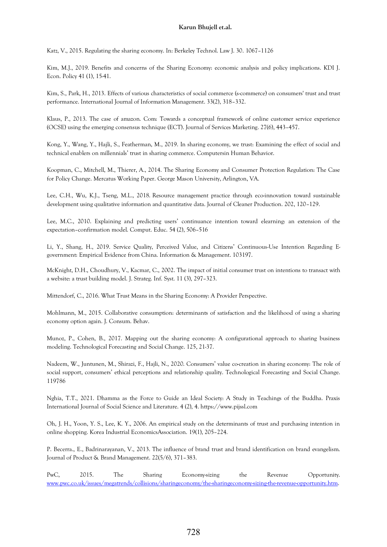Katz, V., 2015. Regulating the sharing economy. In: Berkeley Technol. Law J. 30. 1067–1126

Kim, M.J., 2019. Benefits and concerns of the Sharing Economy: economic analysis and policy implications. KDI J. Econ. Policy 41 (1), 15-41.

Kim, S., Park, H., 2013. Effects of various characteristics of social commerce (s-commerce) on consumers' trust and trust performance. International Journal of Information Management. 33(2), 318–332.

Klaus, P., 2013. The case of amazon. Com: Towards a conceptual framework of online customer service experience (OCSE) using the emerging consensus technique (ECT). Journal of Services Marketing. 27(6), 443–457.

Kong, Y., Wang, Y., Hajli, S., Featherman, M., 2019. In sharing economy, we trust: Examining the effect of social and technical enablers on millennials' trust in sharing commerce. Computersin Human Behavior.

Koopman, C., Mitchell, M., Thierer, A., 2014. The Sharing Economy and Consumer Protection Regulation: The Case for Policy Change. Mercatus Working Paper. George Mason University, Arlington, VA.

Lee, C.H., Wu, K.J., Tseng, M.L., 2018. Resource management practice through eco-innovation toward sustainable development using qualitative information and quantitative data. Journal of Cleaner Production. 202, 120–129.

Lee, M.C., 2010. Explaining and predicting users' continuance intention toward elearning: an extension of the expectation–confirmation model. Comput. Educ. 54 (2), 506–516

Li, Y., Shang, H., 2019. Service Quality, Perceived Value, and Citizens' Continuous-Use Intention Regarding Egovernment: Empirical Evidence from China. Information & Management. 103197.

McKnight, D.H., Choudhury, V., Kacmar, C., 2002. The impact of initial consumer trust on intentions to transact with a website: a trust building model. J. Strateg. Inf. Syst. 11 (3), 297–323.

Mittendorf, C., 2016. What Trust Means in the Sharing Economy: A Provider Perspective.

Mohlmann, M., 2015. Collaborative consumption: determinants of satisfaction and the likelihood of using a sharing economy option again. J. Consum. Behav.

Munoz, P., Cohen, B., 2017. Mapping out the sharing economy: A configurational approach to sharing business modeling. Technological Forecasting and Social Change. 125, 21-37.

Nadeem, W., Juntunen, M., Shirazi, F., Hajli, N., 2020. Consumers' value co-creation in sharing economy: The role of social support, consumers' ethical perceptions and relationship quality. Technological Forecasting and Social Change. 119786

Nghia, T.T., 2021. Dhamma as the Force to Guide an Ideal Society: A Study in Teachings of the Buddha. Praxis International Journal of Social Science and Literature. 4 (2), 4. https://www.pijssl.com

Oh, J. H., Yoon, Y. S., Lee, K. Y., 2006. An empirical study on the determinants of trust and purchasing intention in online shopping. Korea Industrial EconomicsAssociation. 19(1), 205–224.

P. Becerra., E., Badrinarayanan, V., 2013. The influence of brand trust and brand identification on brand evangelism. Journal of Product & Brand Management. 22(5/6), 371–383.

PwC, 2015. The Sharing Economy-sizing the Revenue Opportunity. [www.pwc.co.uk/issues/megatrends/collisions/sharingeconomy/the-sharingeconomy-sizing-the-revenue-opportunity.htm.](http://www.pwc.co.uk/issues/megatrends/collisions/sharingeconomy/the-sharingeconomy-sizing-the-revenue-opportunity.htm)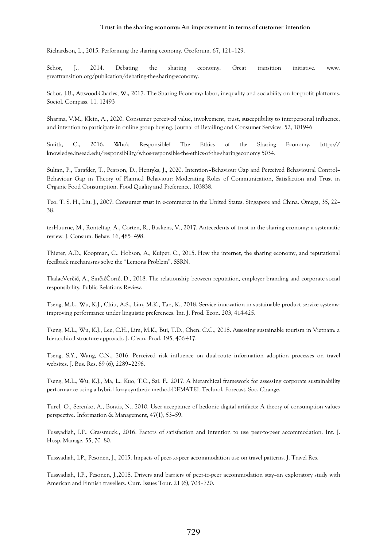### **Trust in the sharing economy: An improvement in terms of customer intention**

Richardson, L., 2015. Performing the sharing economy. Geoforum. 67, 121–129.

Schor, J., 2014. Debating the sharing economy. Great transition initiative. www. greattransition.org/publication/debating-the-sharing-economy.

Schor, J.B., Attwood-Charles, W., 2017. The Sharing Economy: labor, inequality and sociability on for-profit platforms. Sociol. Compass. 11, 12493

Sharma, V.M., Klein, A., 2020. Consumer perceived value, involvement, trust, susceptibility to interpersonal influence, and intention to participate in online group buying. Journal of Retailing and Consumer Services. 52, 101946

Smith, C., 2016. Who's Responsible? The Ethics of the Sharing Economy. https:// knowledge.insead.edu/responsibility/whos-responsible-the-ethics-of-the-sharingeconomy 5034.

Sultan, P., Tarafder, T., Pearson, D., Henryks, J., 2020. Intention–Behaviour Gap and Perceived Behavioural Control– Behaviour Gap in Theory of Planned Behaviour: Moderating Roles of Communication, Satisfaction and Trust in Organic Food Consumption. Food Quality and Preference, 103838.

Teo, T. S. H., Liu, J., 2007. Consumer trust in e-commerce in the United States, Singapore and China. Omega, 35, 22– 38.

terHuurne, M., Ronteltap, A., Corten, R., Buskens, V., 2017. Antecedents of trust in the sharing economy: a systematic review. J. Consum. Behav. 16, 485–498.

Thierer, A.D., Koopman, C., Hobson, A., Kuiper, C., 2015. How the internet, the sharing economy, and reputational feedback mechanisms solve the "Lemons Problem". SSRN.

TkalacVerčič, A., SinčićĆorić, D., 2018. The relationship between reputation, employer branding and corporate social responsibility. Public Relations Review.

Tseng, M.L., Wu, K.J., Chiu, A.S., Lim, M.K., Tan, K., 2018. Service innovation in sustainable product service systems: improving performance under linguistic preferences. Int. J. Prod. Econ. 203, 414-425.

Tseng, M.L., Wu, K.J., Lee, C.H., Lim, M.K., Bui, T.D., Chen, C.C., 2018. Assessing sustainable tourism in Vietnam: a hierarchical structure approach. J. Clean. Prod. 195, 406-417.

Tseng, S.Y., Wang, C.N., 2016. Perceived risk influence on dual-route information adoption processes on travel websites. J. Bus. Res. 69 (6), 2289–2296.

Tseng, M.L., Wu, K.J., Ma, L., Kuo, T.C., Sai, F., 2017. A hierarchical framework for assessing corporate sustainability performance using a hybrid fuzzy synthetic method-DEMATEL Technol. Forecast. Soc. Change.

Turel, O., Serenko, A., Bontis, N., 2010. User acceptance of hedonic digital artifacts: A theory of consumption values perspective. Information & Management, 47(1), 53–59.

Tussyadiah, I.P., Grassmuck., 2016. Factors of satisfaction and intention to use peer-to-peer accommodation. Int. J. Hosp. Manage. 55, 70–80.

Tussyadiah, I.P., Pesonen, J., 2015. Impacts of peer-to-peer accommodation use on travel patterns. J. Travel Res.

Tussyadiah, I.P., Pesonen, J.,2018. Drivers and barriers of peer-to-peer accommodation stay–an exploratory study with American and Finnish travellers. Curr. Issues Tour. 21 (6), 703–720.